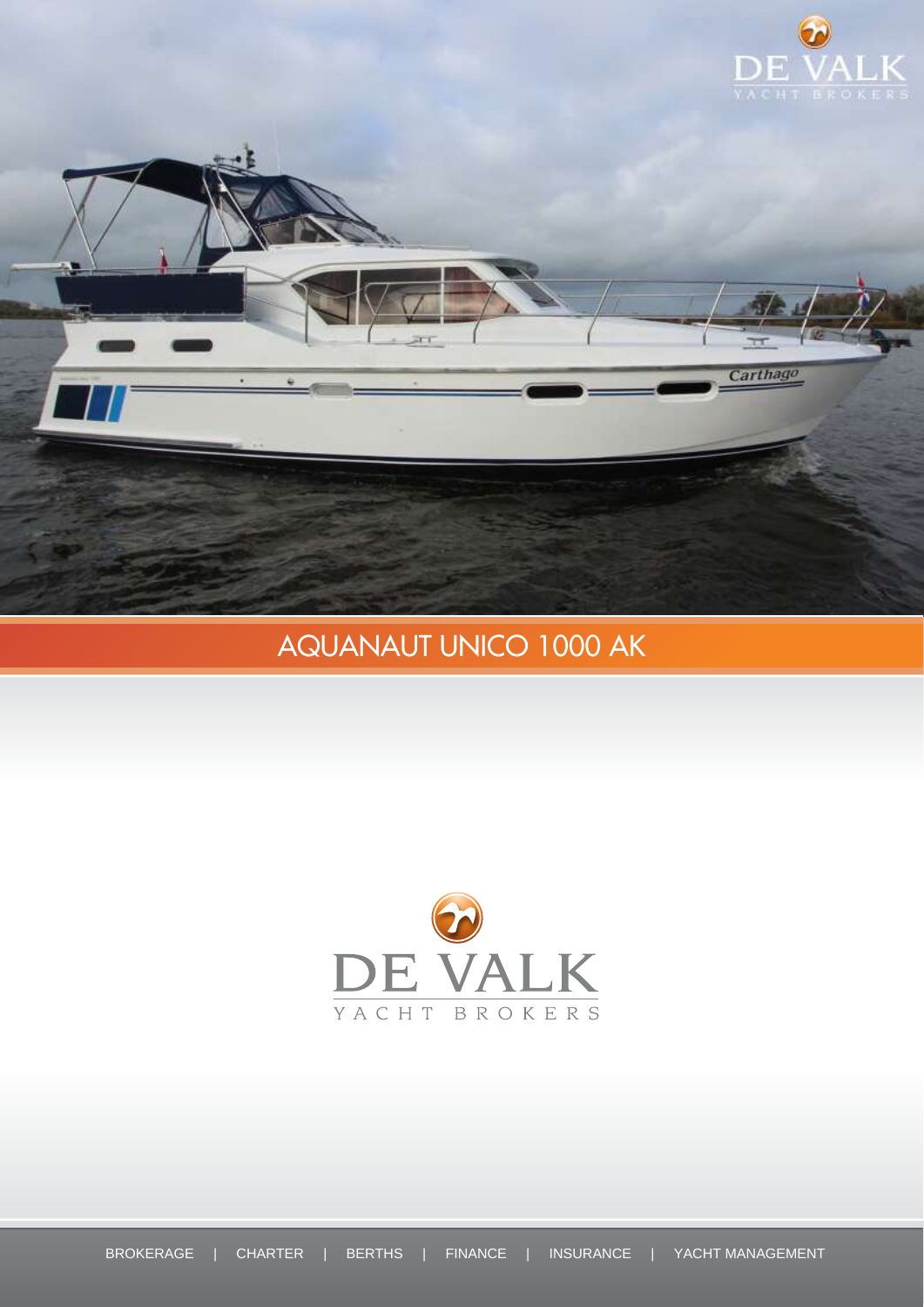

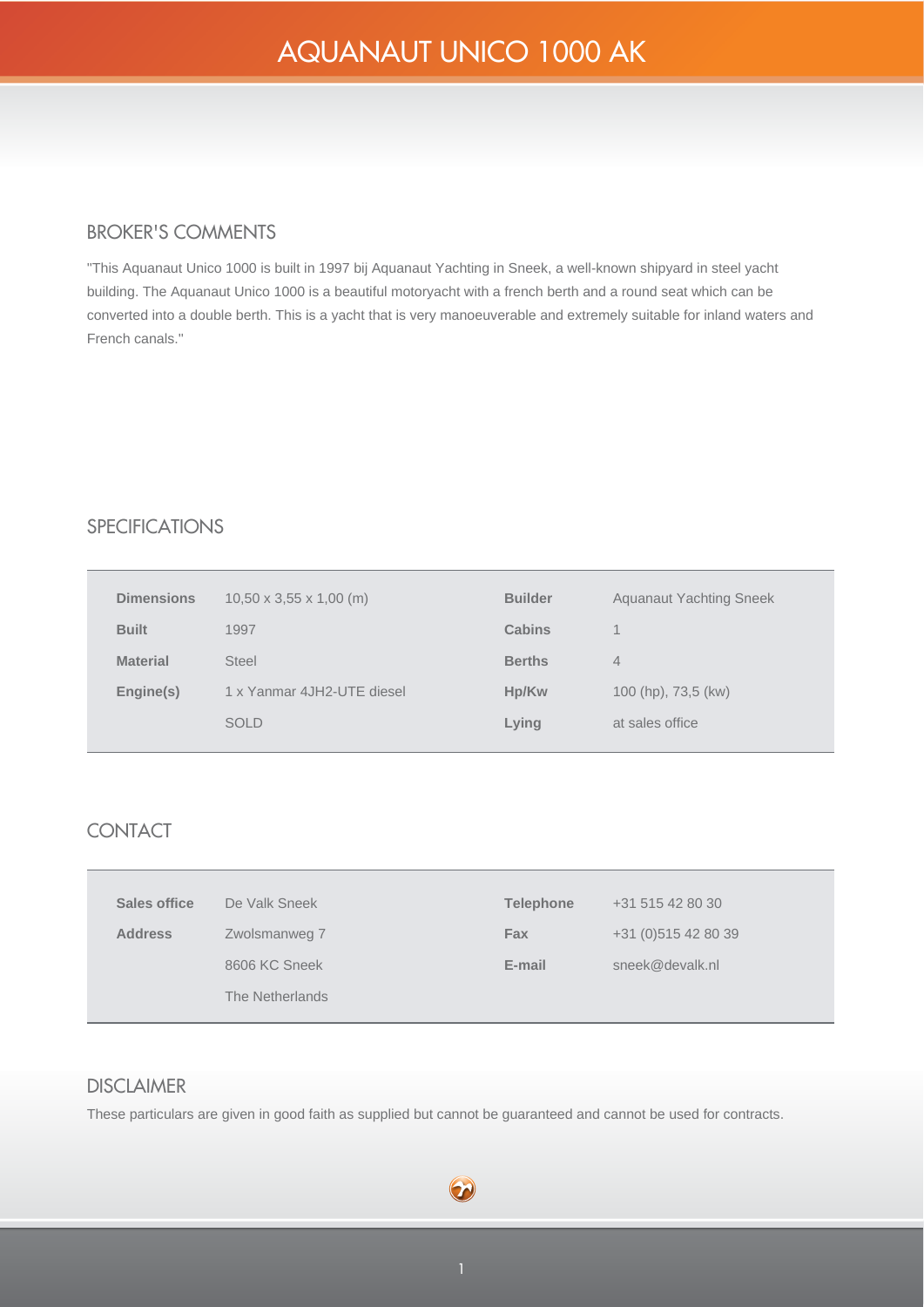#### **BROKER'S COMMENTS**

''This Aquanaut Unico 1000 is built in 1997 bij Aquanaut Yachting in Sneek, a well-known shipyard in steel yacht building. The Aquanaut Unico 1000 is a beautiful motoryacht with a french berth and a round seat which can be converted into a double berth. This is a yacht that is very manoeuverable and extremely suitable for inland waters and French canals.''

### **SPECIFICATIONS**

| <b>Dimensions</b> | $10,50 \times 3,55 \times 1,00 \ (m)$ | <b>Builder</b> | <b>Aguanaut Yachting Sneek</b> |
|-------------------|---------------------------------------|----------------|--------------------------------|
| <b>Built</b>      | 1997                                  | Cabins         | 1                              |
| <b>Material</b>   | <b>Steel</b>                          | <b>Berths</b>  | 4                              |
| Engine(s)         | 1 x Yanmar 4JH2-UTE diesel            | Hp/Kw          | 100 (hp), 73,5 (kw)            |
|                   | <b>SOLD</b>                           | Lying          | at sales office                |
|                   |                                       |                |                                |

### **CONTACT**

| Sales office   | De Valk Sneek   | <b>Telephone</b> | +31 515 42 80 30     |
|----------------|-----------------|------------------|----------------------|
| <b>Address</b> | Zwolsmanweg 7   | <b>Fax</b>       | +31 (0) 515 42 80 39 |
|                | 8606 KC Sneek   | E-mail           | sneek@devalk.nl      |
|                | The Netherlands |                  |                      |

#### **DISCLAIMER**

These particulars are given in good faith as supplied but cannot be guaranteed and cannot be used for contracts.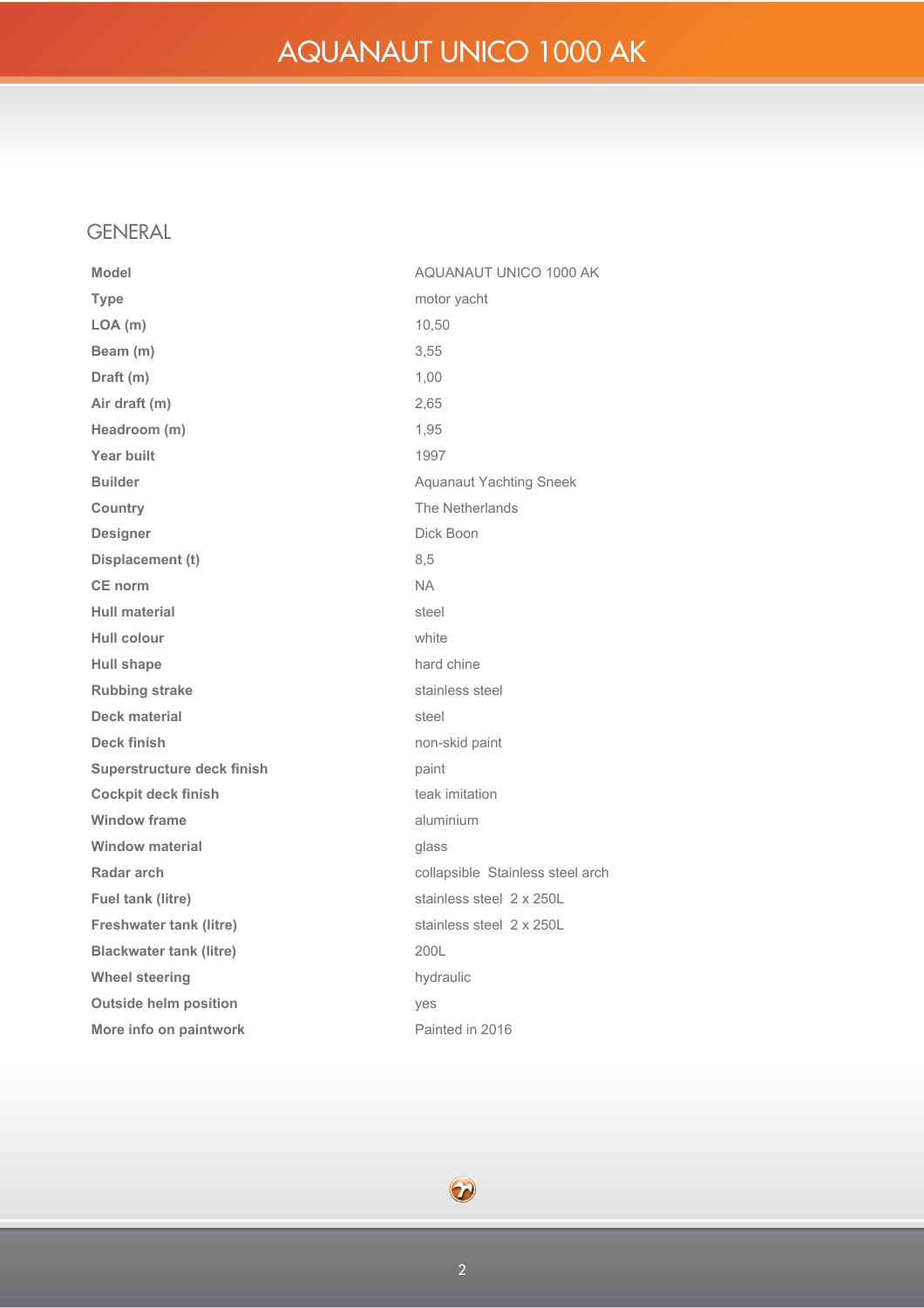### **GENERAL**

**Model AQUANAUT UNICO 1000 AK Type motor yacht LOA (m) 10,50 Beam (m) 3,55 Draft (m) 1,00 Air draft (m) 2,65 Headroom (m) 1,95 Year built 1997 Builder Aquanaut Yachting Sneek Country The Netherlands Designer Dick Boon Displacement (t) 8,5 CE norm NA Hull material steel Hull colour white Hull shape hard chine Rubbing strake stainless steel Deck material** steel **Deck finish non-skid paint Superstructure deck finish paint Cockpit deck finish teak imitation Window frame aluminium Window material glass Radar arch collapsible Stainless steel arch Fuel tank (litre) stainless steel 2 x 250L Freshwater tank (litre) stainless steel 2 x 250L Blackwater tank (litre) 200L Wheel steering hydraulic Outside helm position yes More info on paintwork Painted in** 2016

 $\bm{\omega}$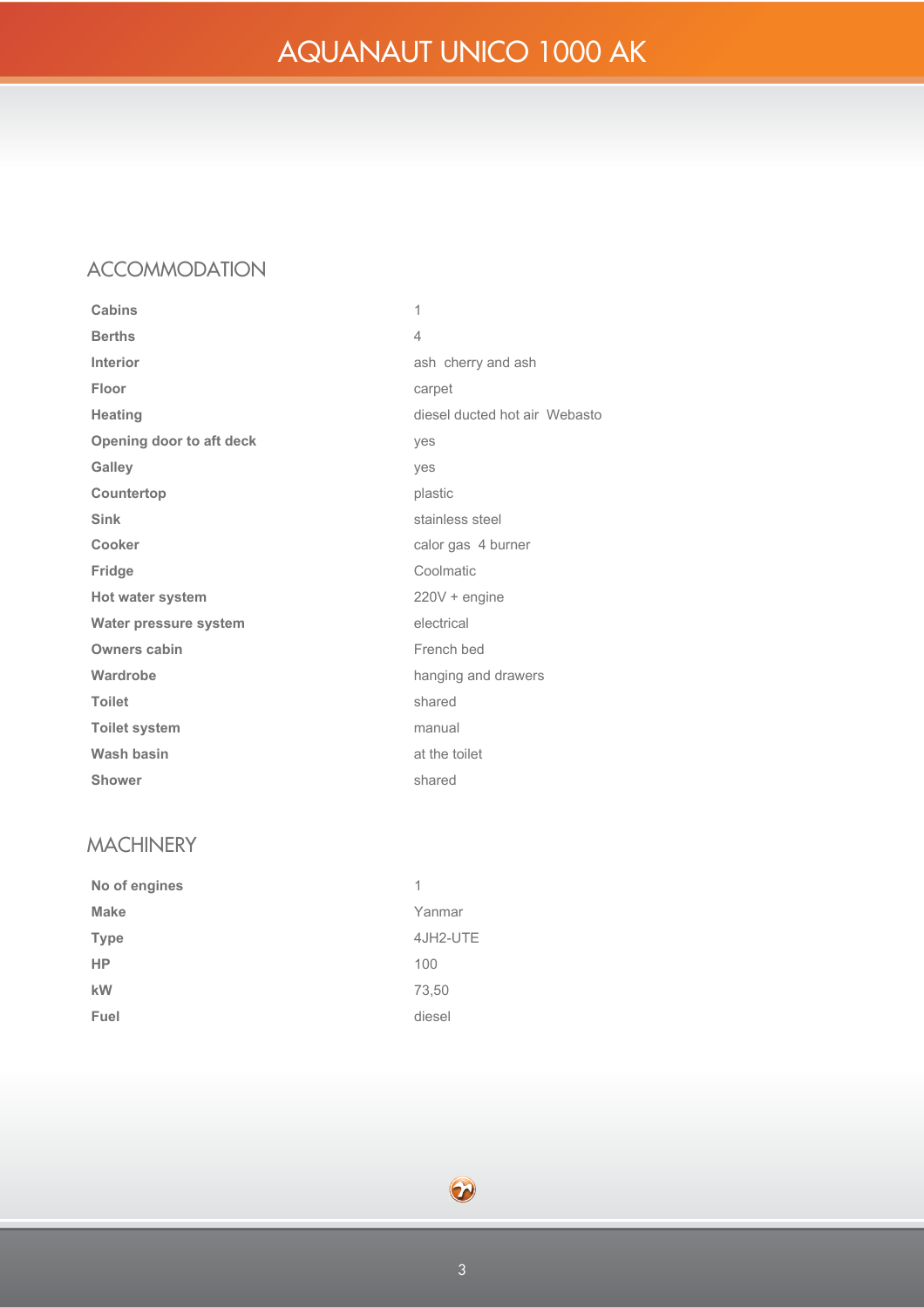## **ACCOMMODATION**

| Cabins                   | 1                             |
|--------------------------|-------------------------------|
| <b>Berths</b>            | $\overline{4}$                |
| Interior                 | ash cherry and ash            |
| Floor                    | carpet                        |
| <b>Heating</b>           | diesel ducted hot air Webasto |
| Opening door to aft deck | yes                           |
| Galley                   | yes                           |
| Countertop               | plastic                       |
| <b>Sink</b>              | stainless steel               |
| Cooker                   | calor gas 4 burner            |
| <b>Fridge</b>            | Coolmatic                     |
| <b>Hot water system</b>  | $220V + engine$               |
| Water pressure system    | electrical                    |
| Owners cabin             | French bed                    |
| Wardrobe                 | hanging and drawers           |
| <b>Toilet</b>            | shared                        |
| <b>Toilet system</b>     | manual                        |
| Wash basin               | at the toilet                 |
| <b>Shower</b>            | shared                        |

## **MACHINERY**

| No of engines | 1        |
|---------------|----------|
| <b>Make</b>   | Yanmar   |
| <b>Type</b>   | 4JH2-UTE |
| <b>HP</b>     | 100      |
| kW            | 73,50    |
| Fuel          | diesel   |

 $\odot$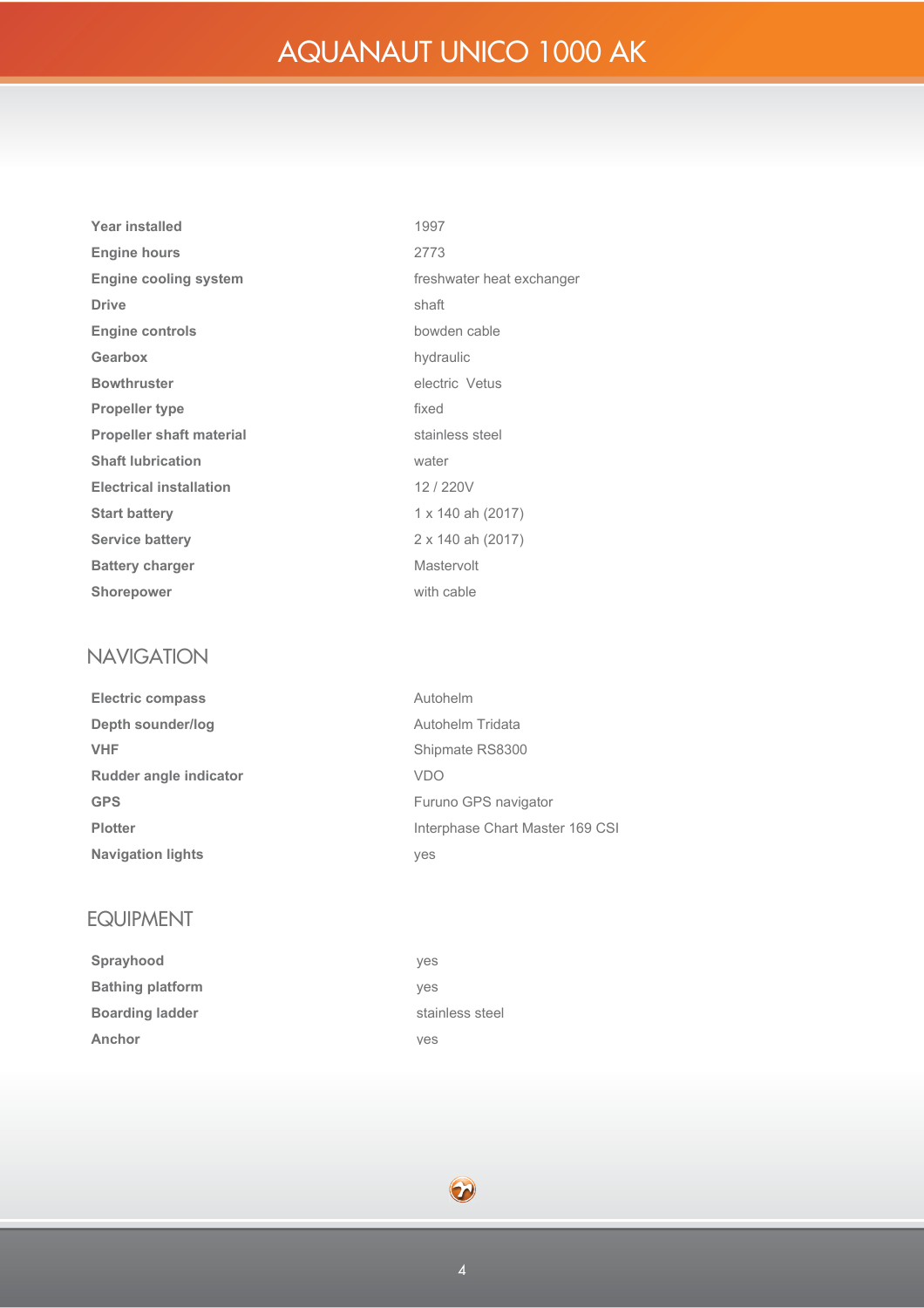**Engine cooling system freshwater heat exchanger**

**Engine controls bowden cable**

**Propeller shaft material stainless steel**

**Start battery 1 x 140 ah (2017) Service battery 2 x 140 ah (2017)**

**Electrical installation 12 / 220V**

**Mastervolt with** cable

**Gearbox hydraulic Blectric Vetus** 

| <b>Year installed</b>           | 1997          |
|---------------------------------|---------------|
| <b>Engine hours</b>             | 2773          |
| <b>Engine cooling system</b>    | freshy        |
| <b>Drive</b>                    | shaft         |
| <b>Engine controls</b>          | bowd          |
| <b>Gearbox</b>                  | hydra         |
| <b>Bowthruster</b>              | electr        |
| <b>Propeller type</b>           | fixed         |
| <b>Propeller shaft material</b> | stainl        |
| <b>Shaft lubrication</b>        | water         |
| <b>Electrical installation</b>  | 12/2          |
| <b>Start battery</b>            | $1 \times 14$ |
| <b>Service battery</b>          | $2 \times 14$ |
| <b>Battery charger</b>          | <b>Maste</b>  |
| <b>Shorepower</b>               | with c        |

## **NAVIGATION**

| <b>Electric compass</b>  | Autohelm                        |
|--------------------------|---------------------------------|
| Depth sounder/log        | Autohelm Tridata                |
| <b>VHF</b>               | Shipmate RS8300                 |
| Rudder angle indicator   | <b>VDO</b>                      |
| <b>GPS</b>               | Furuno GPS navigator            |
| <b>Plotter</b>           | Interphase Chart Master 169 CSI |
| <b>Navigation lights</b> | yes                             |

### **EQUIPMENT**

| Sprayhood               | ves             |
|-------------------------|-----------------|
| <b>Bathing platform</b> | ves             |
| <b>Boarding ladder</b>  | stainless steel |
| Anchor                  | ves             |

 $\odot$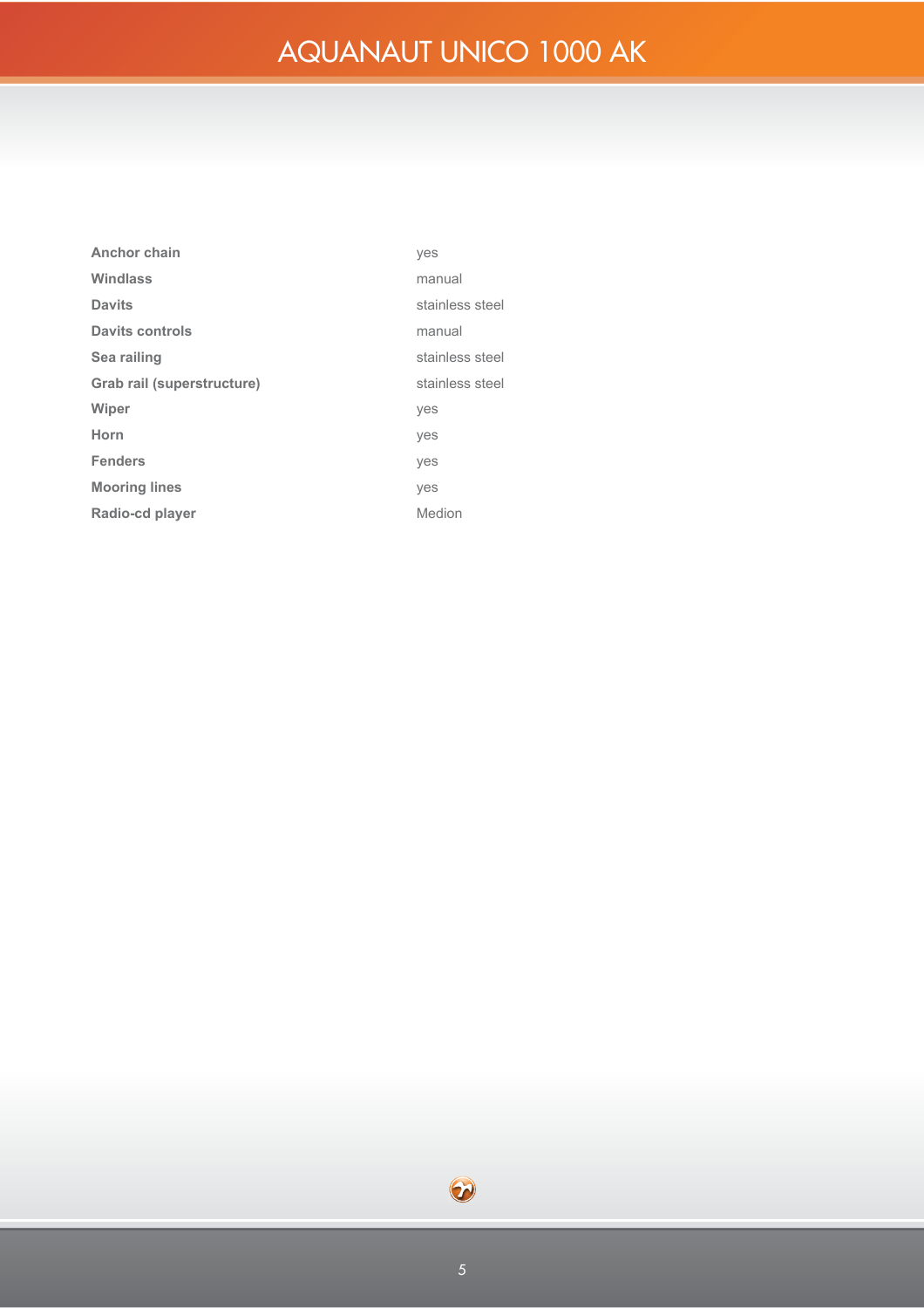| <b>Anchor chain</b>        | yes             |
|----------------------------|-----------------|
| <b>Windlass</b>            | manual          |
| <b>Davits</b>              | stainless steel |
| <b>Davits controls</b>     | manual          |
| Sea railing                | stainless steel |
| Grab rail (superstructure) | stainless steel |
| Wiper                      | yes             |
| Horn                       | yes             |
| <b>Fenders</b>             | yes             |
| <b>Mooring lines</b>       | yes             |
| Radio-cd player            | Medion          |

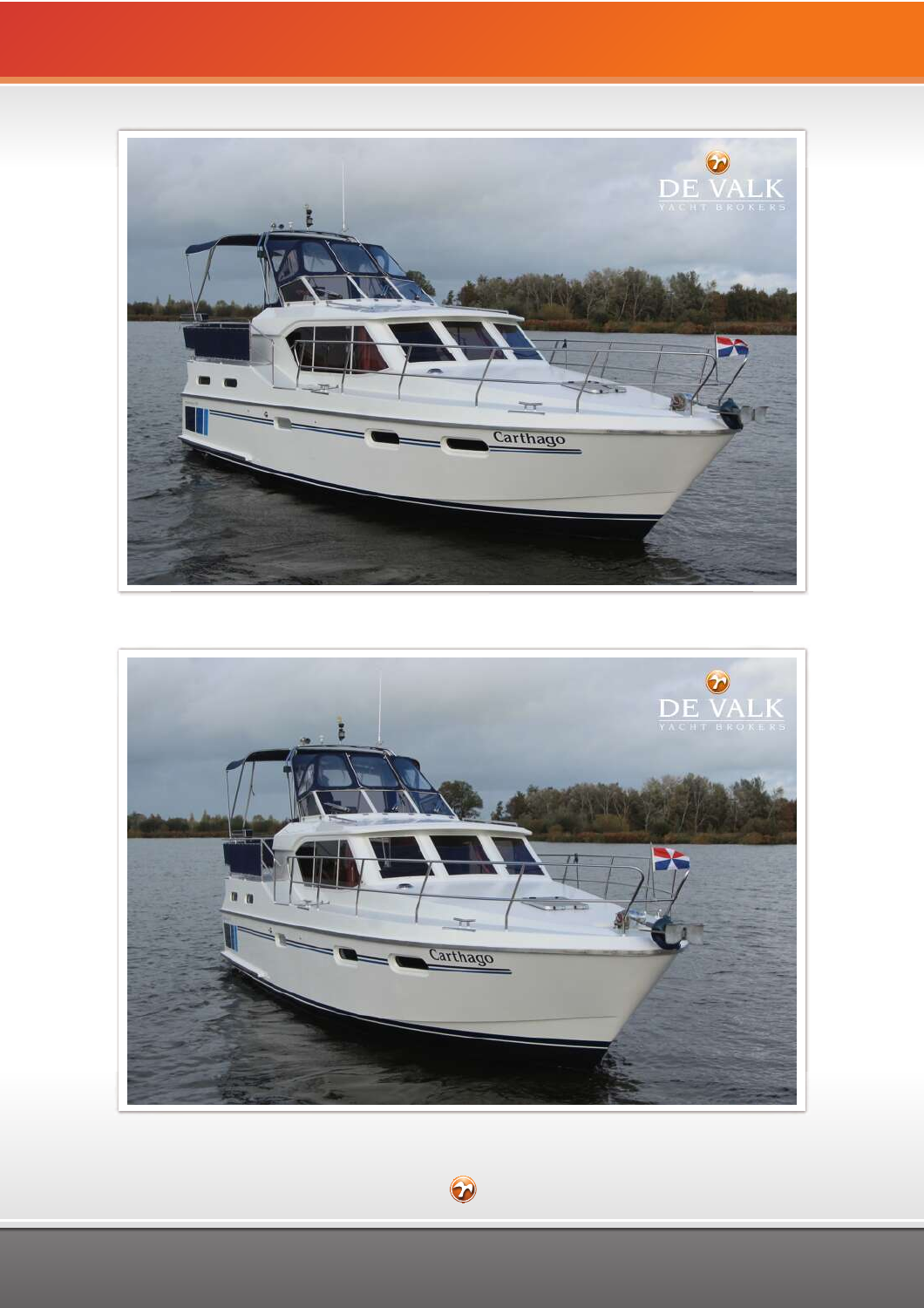$$48$1$8787.$  81, & 2 \$.



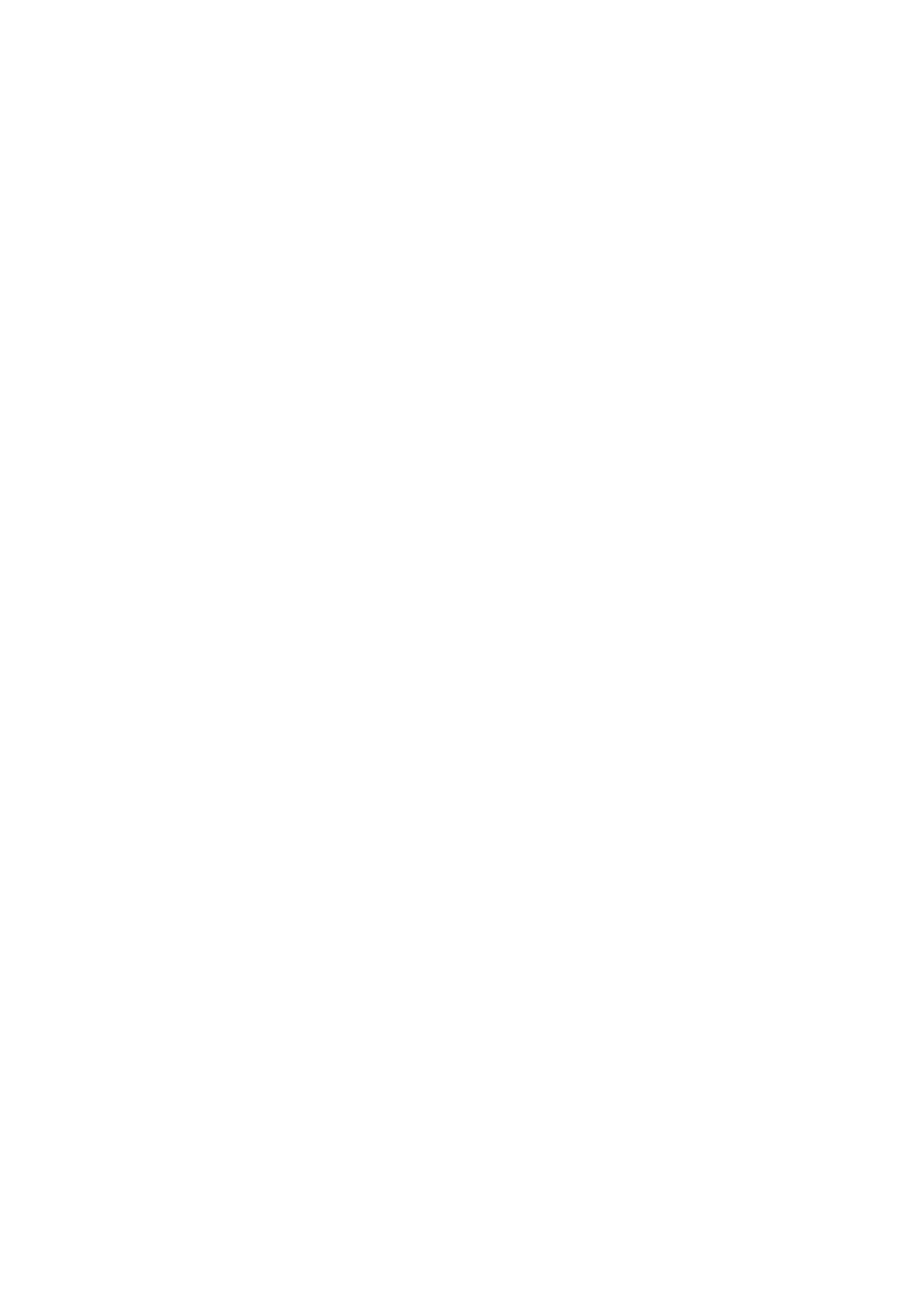| ---- |  |
|------|--|
|      |  |
|      |  |
|      |  |
|      |  |
|      |  |
|      |  |
|      |  |
|      |  |
|      |  |
|      |  |
|      |  |
|      |  |
|      |  |
|      |  |
|      |  |
|      |  |
|      |  |
|      |  |
|      |  |
|      |  |
|      |  |
|      |  |
|      |  |
|      |  |
|      |  |
|      |  |
|      |  |
|      |  |
|      |  |
|      |  |
|      |  |
|      |  |
|      |  |
|      |  |
|      |  |
|      |  |
|      |  |
|      |  |
|      |  |
|      |  |
|      |  |
|      |  |
|      |  |
|      |  |
|      |  |
|      |  |
|      |  |
|      |  |
|      |  |
|      |  |
|      |  |
|      |  |
|      |  |
|      |  |
|      |  |
|      |  |
|      |  |
|      |  |

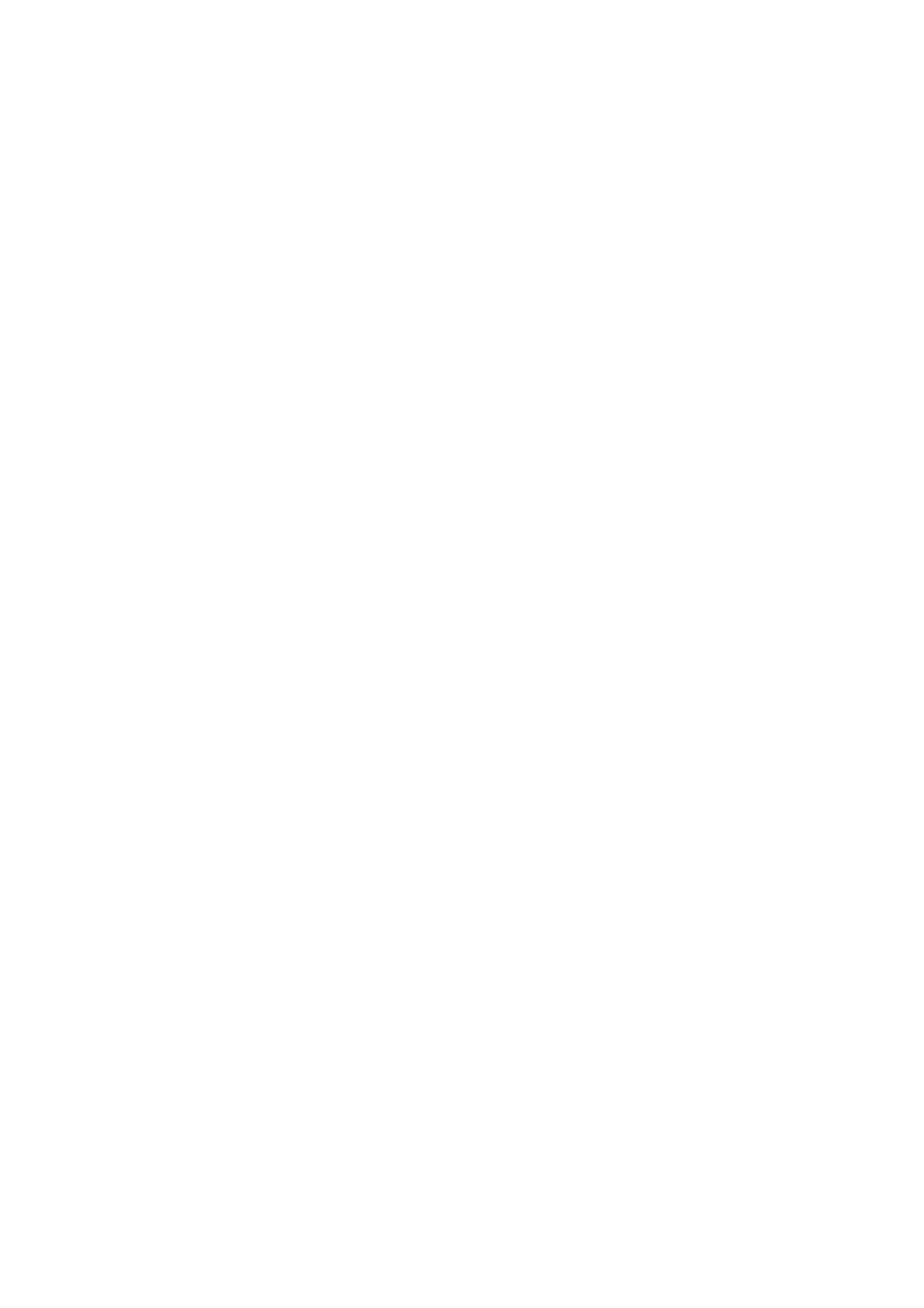| ---- |  |
|------|--|
|      |  |
|      |  |
|      |  |
|      |  |
|      |  |
|      |  |
|      |  |
|      |  |
|      |  |
|      |  |
|      |  |
|      |  |
|      |  |
|      |  |
|      |  |
|      |  |
|      |  |
|      |  |
|      |  |
|      |  |
|      |  |
|      |  |
|      |  |
|      |  |
|      |  |
|      |  |
|      |  |
|      |  |
|      |  |
|      |  |
|      |  |
|      |  |
|      |  |
|      |  |
|      |  |
|      |  |
|      |  |
|      |  |
|      |  |
|      |  |
|      |  |
|      |  |
|      |  |
|      |  |
|      |  |
|      |  |
|      |  |
|      |  |
|      |  |
|      |  |
|      |  |
|      |  |
|      |  |
|      |  |
|      |  |
|      |  |
|      |  |
|      |  |

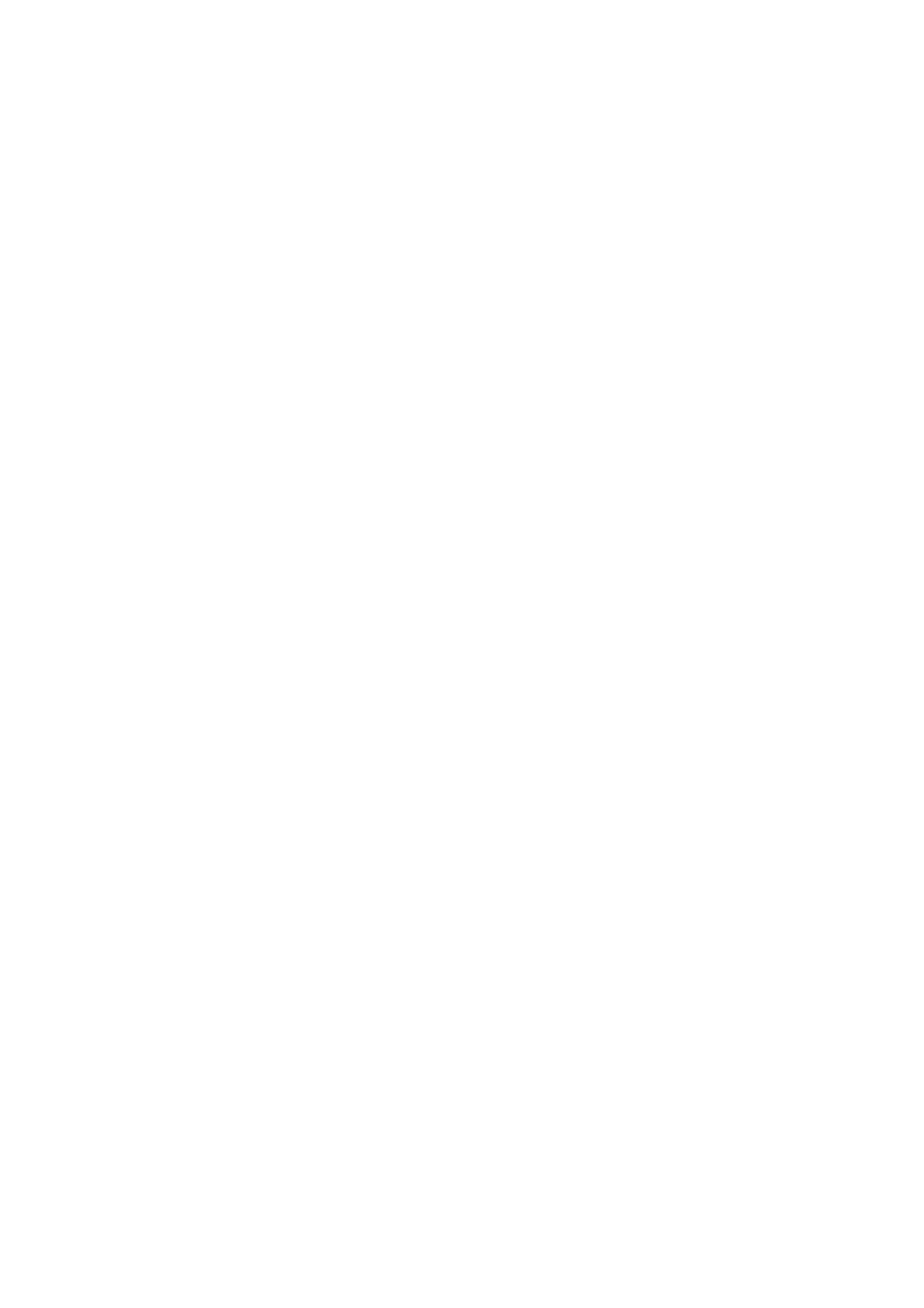| ---- |  |
|------|--|
|      |  |
|      |  |
|      |  |
|      |  |
|      |  |
|      |  |
|      |  |
|      |  |
|      |  |
|      |  |
|      |  |
|      |  |
|      |  |
|      |  |
|      |  |
|      |  |
|      |  |
|      |  |
|      |  |
|      |  |
|      |  |
|      |  |
|      |  |
|      |  |
|      |  |
|      |  |
|      |  |
|      |  |
|      |  |
|      |  |
|      |  |
|      |  |
|      |  |
|      |  |
|      |  |
|      |  |
|      |  |
|      |  |
|      |  |
|      |  |
|      |  |
|      |  |
|      |  |
|      |  |
|      |  |
|      |  |
|      |  |
|      |  |
|      |  |
|      |  |
|      |  |
|      |  |
|      |  |
|      |  |
|      |  |
|      |  |
|      |  |
|      |  |

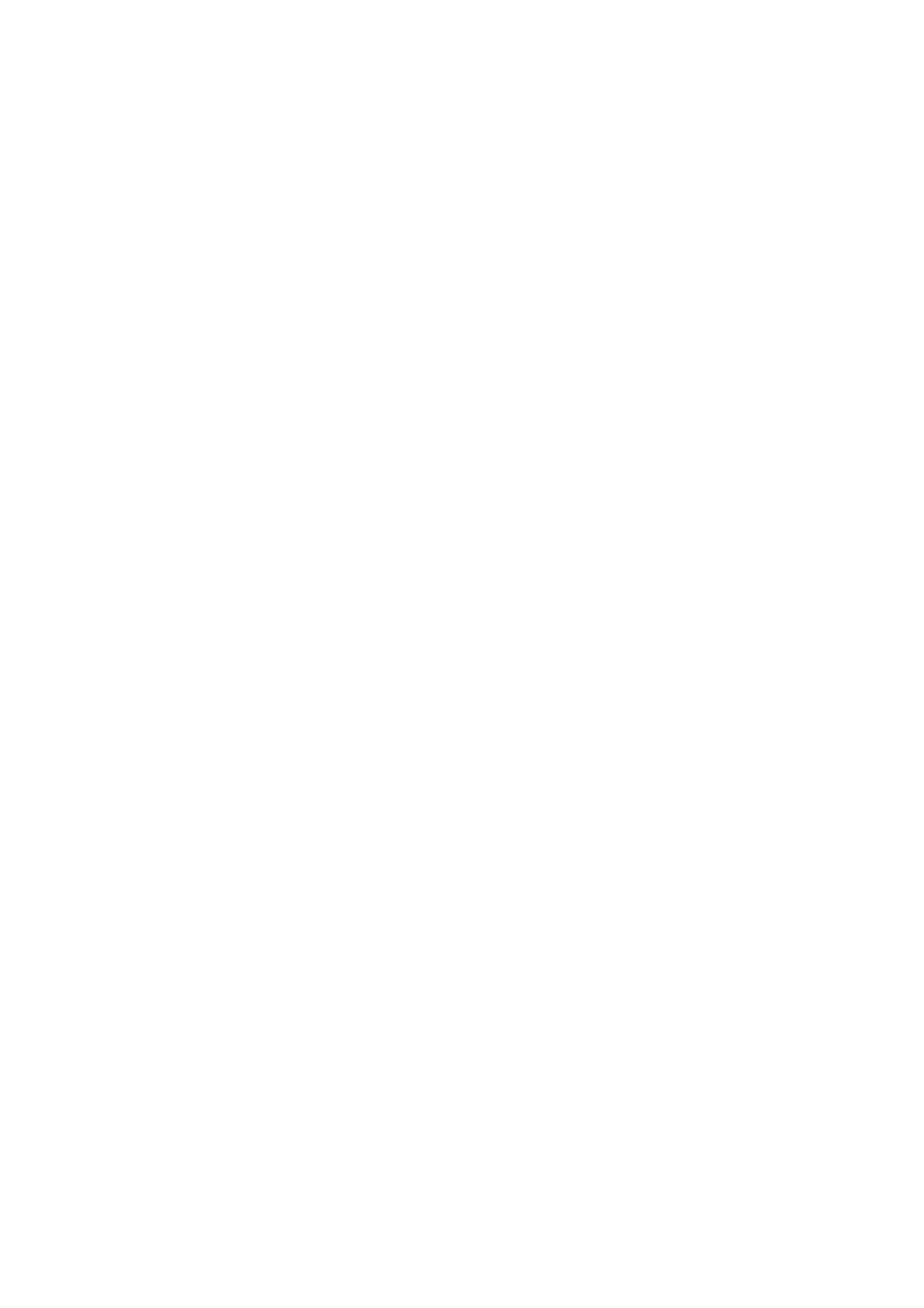| ---- |  |
|------|--|
|      |  |
|      |  |
|      |  |
|      |  |
|      |  |
|      |  |
|      |  |
|      |  |
|      |  |
|      |  |
|      |  |
|      |  |
|      |  |
|      |  |
|      |  |
|      |  |
|      |  |
|      |  |
|      |  |
|      |  |
|      |  |
|      |  |
|      |  |
|      |  |
|      |  |
|      |  |
|      |  |
|      |  |
|      |  |
|      |  |
|      |  |
|      |  |
|      |  |
|      |  |
|      |  |
|      |  |
|      |  |
|      |  |
|      |  |
|      |  |
|      |  |
|      |  |
|      |  |
|      |  |
|      |  |
|      |  |
|      |  |
|      |  |
|      |  |
|      |  |
|      |  |
|      |  |
|      |  |
|      |  |
|      |  |
|      |  |
|      |  |
|      |  |

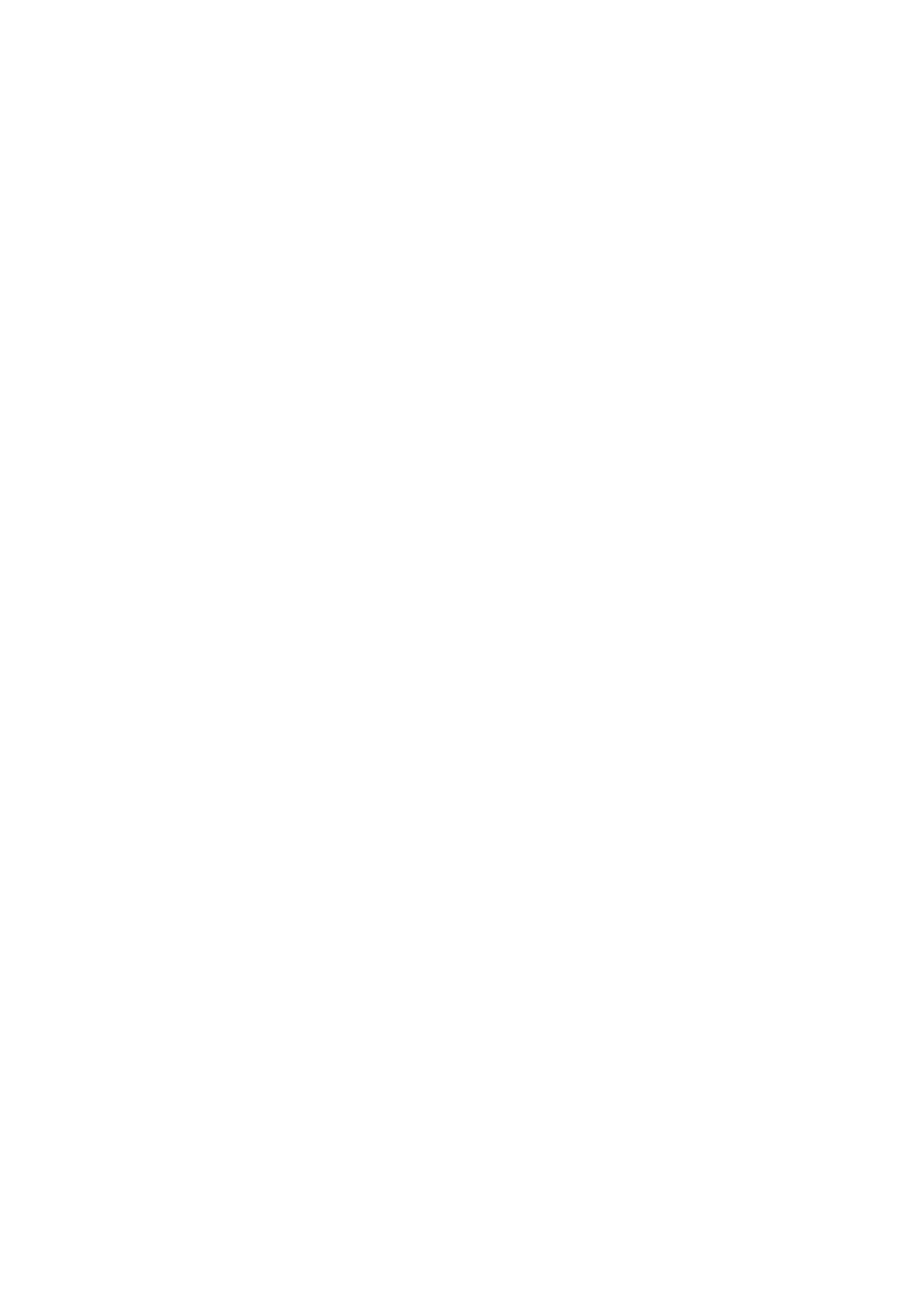| ---- |  |
|------|--|
|      |  |
|      |  |
|      |  |
|      |  |
|      |  |
|      |  |
|      |  |
|      |  |
|      |  |
|      |  |
|      |  |
|      |  |
|      |  |
|      |  |
|      |  |
|      |  |
|      |  |
|      |  |
|      |  |
|      |  |
|      |  |
|      |  |
|      |  |
|      |  |
|      |  |
|      |  |
|      |  |
|      |  |
|      |  |
|      |  |
|      |  |
|      |  |
|      |  |
|      |  |
|      |  |
|      |  |
|      |  |
|      |  |
|      |  |
|      |  |
|      |  |
|      |  |
|      |  |
|      |  |
|      |  |
|      |  |
|      |  |
|      |  |
|      |  |
|      |  |
|      |  |
|      |  |
|      |  |
|      |  |
|      |  |
|      |  |
|      |  |
|      |  |

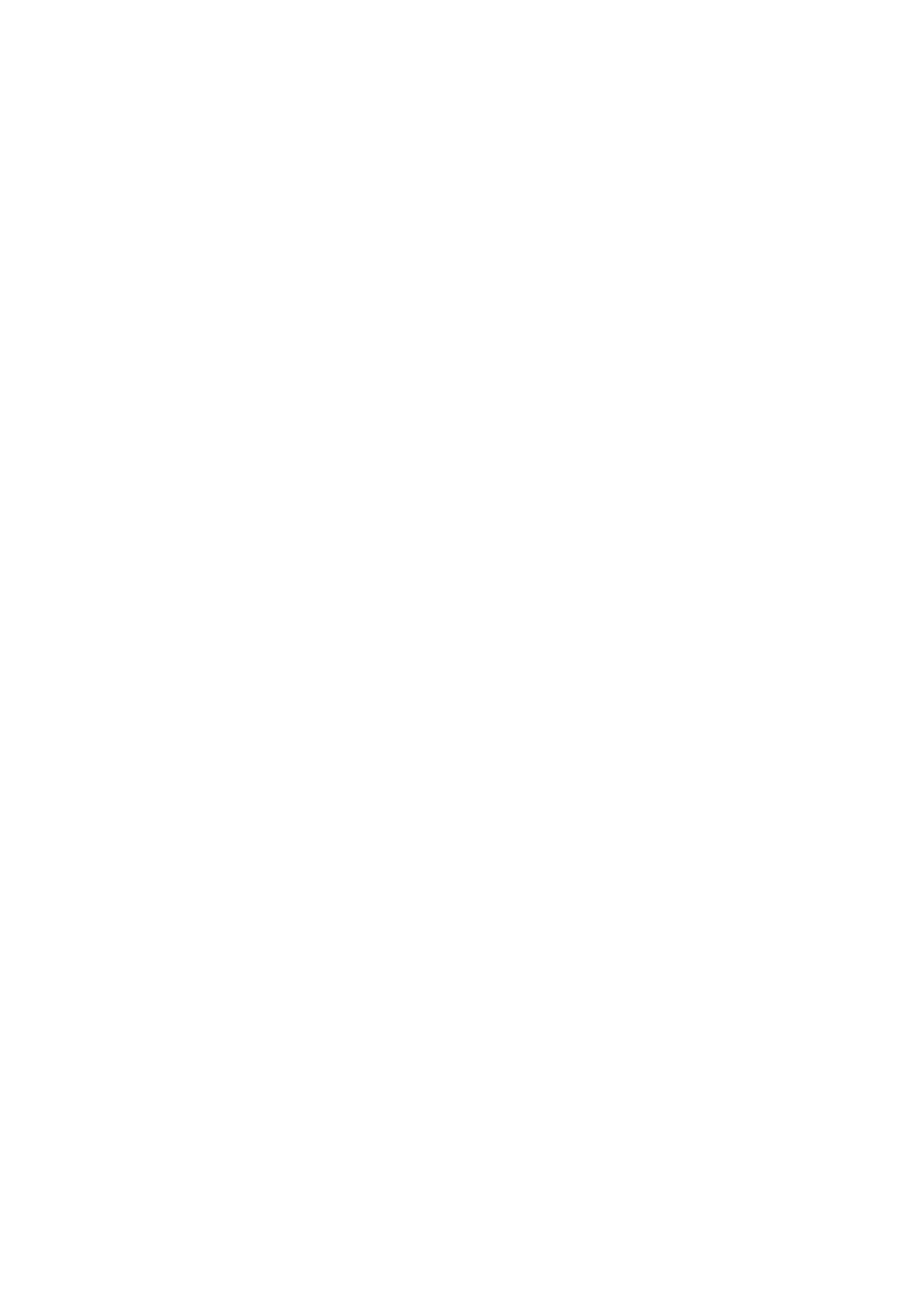| ---- |  |
|------|--|
|      |  |
|      |  |
|      |  |
|      |  |
|      |  |
|      |  |
|      |  |
|      |  |
|      |  |
|      |  |
|      |  |
|      |  |
|      |  |
|      |  |
|      |  |
|      |  |
|      |  |
|      |  |
|      |  |
|      |  |
|      |  |
|      |  |
|      |  |
|      |  |
|      |  |
|      |  |
|      |  |
|      |  |
|      |  |
|      |  |
|      |  |
|      |  |
|      |  |
|      |  |
|      |  |
|      |  |
|      |  |
|      |  |
|      |  |
|      |  |
|      |  |
|      |  |
|      |  |
|      |  |
|      |  |
|      |  |
|      |  |
|      |  |
|      |  |
|      |  |
|      |  |
|      |  |
|      |  |
|      |  |
|      |  |
|      |  |
|      |  |
|      |  |

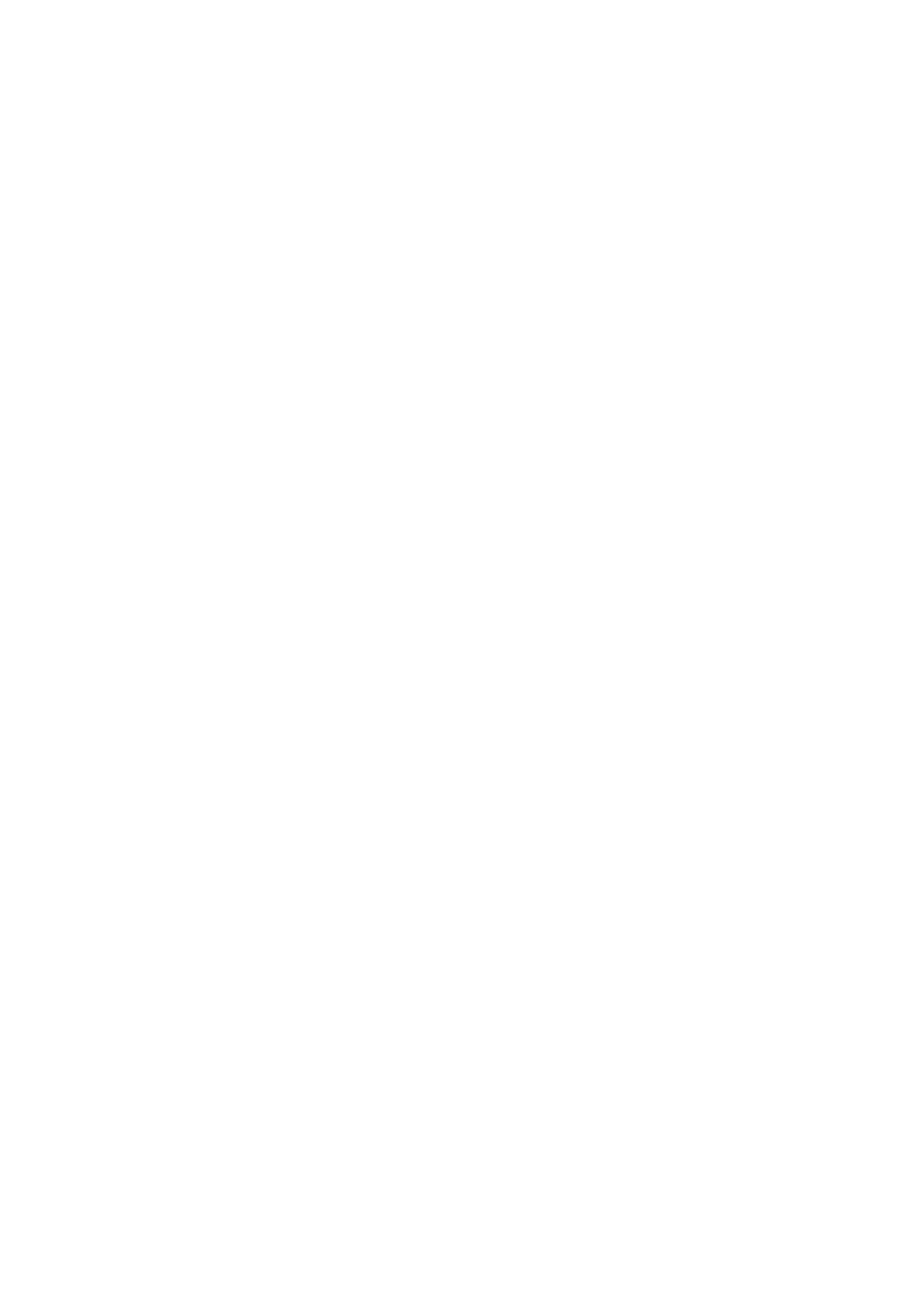| ---- |  |
|------|--|
|      |  |
|      |  |
|      |  |
|      |  |
|      |  |
|      |  |
|      |  |
|      |  |
|      |  |
|      |  |
|      |  |
|      |  |
|      |  |
|      |  |
|      |  |
|      |  |
|      |  |
|      |  |
|      |  |
|      |  |
|      |  |
|      |  |
|      |  |
|      |  |
|      |  |
|      |  |
|      |  |
|      |  |
|      |  |
|      |  |
|      |  |
|      |  |
|      |  |
|      |  |
|      |  |
|      |  |
|      |  |
|      |  |
|      |  |
|      |  |
|      |  |
|      |  |
|      |  |
|      |  |
|      |  |
|      |  |
|      |  |
|      |  |
|      |  |
|      |  |
|      |  |
|      |  |
|      |  |
|      |  |
|      |  |
|      |  |
|      |  |
|      |  |

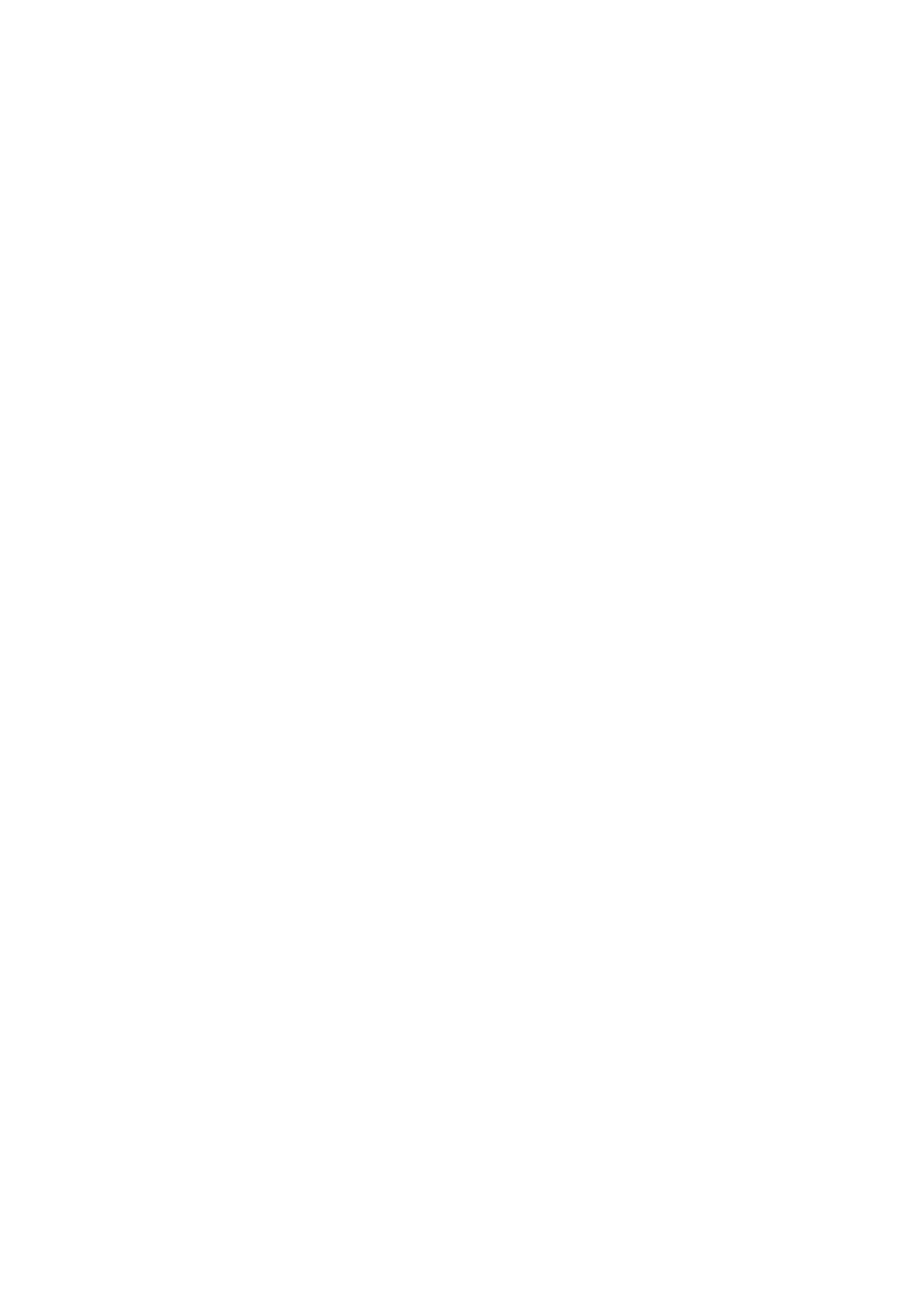| ---- |  |
|------|--|
|      |  |
|      |  |
|      |  |
|      |  |
|      |  |
|      |  |
|      |  |
|      |  |
|      |  |
|      |  |
|      |  |
|      |  |
|      |  |
|      |  |
|      |  |
|      |  |
|      |  |
|      |  |
|      |  |
|      |  |
|      |  |
|      |  |
|      |  |
|      |  |
|      |  |
|      |  |
|      |  |
|      |  |
|      |  |
|      |  |
|      |  |
|      |  |
|      |  |
|      |  |
|      |  |
|      |  |
|      |  |
|      |  |
|      |  |
|      |  |
|      |  |
|      |  |
|      |  |
|      |  |
|      |  |
|      |  |
|      |  |
|      |  |
|      |  |
|      |  |
|      |  |
|      |  |
|      |  |
|      |  |
|      |  |
|      |  |
|      |  |
|      |  |

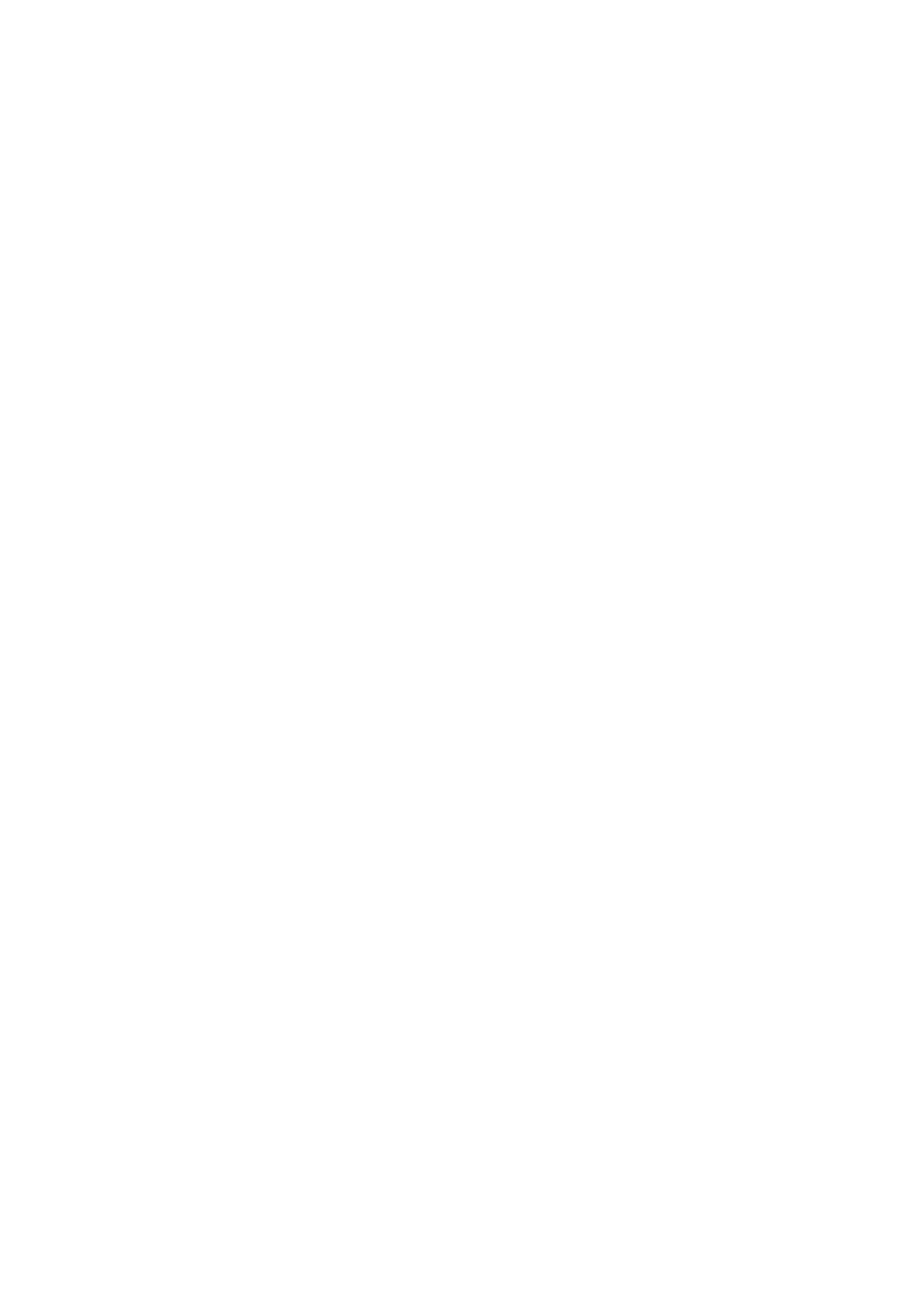| ---- |  |
|------|--|
|      |  |
|      |  |
|      |  |
|      |  |
|      |  |
|      |  |
|      |  |
|      |  |
|      |  |
|      |  |
|      |  |
|      |  |
|      |  |
|      |  |
|      |  |
|      |  |
|      |  |
|      |  |
|      |  |
|      |  |
|      |  |
|      |  |
|      |  |
|      |  |
|      |  |
|      |  |
|      |  |
|      |  |
|      |  |
|      |  |
|      |  |
|      |  |
|      |  |
|      |  |
|      |  |
|      |  |
|      |  |
|      |  |
|      |  |
|      |  |
|      |  |
|      |  |
|      |  |
|      |  |
|      |  |
|      |  |
|      |  |
|      |  |
|      |  |
|      |  |
|      |  |
|      |  |
|      |  |
|      |  |
|      |  |
|      |  |
|      |  |
|      |  |